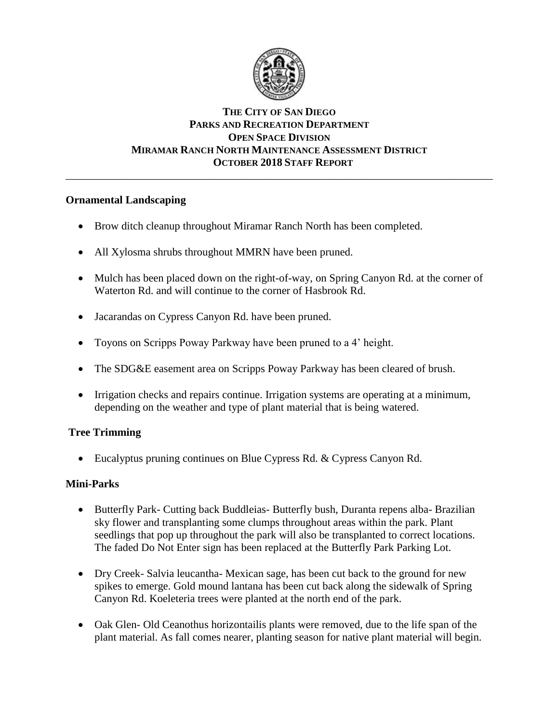

### **THE CITY OF SAN DIEGO PARKS AND RECREATION DEPARTMENT OPEN SPACE DIVISION MIRAMAR RANCH NORTH MAINTENANCE ASSESSMENT DISTRICT OCTOBER 2018 STAFF REPORT** \_\_\_\_\_\_\_\_\_\_\_\_\_\_\_\_\_\_\_\_\_\_\_\_\_\_\_\_\_\_\_\_\_\_\_\_\_\_\_\_\_\_\_\_\_\_\_\_\_\_\_\_\_\_\_\_\_\_\_\_\_\_\_\_\_\_\_\_\_\_\_\_\_\_\_\_\_\_

# **Ornamental Landscaping**

- Brow ditch cleanup throughout Miramar Ranch North has been completed.
- All Xylosma shrubs throughout MMRN have been pruned.
- Mulch has been placed down on the right-of-way, on Spring Canyon Rd. at the corner of Waterton Rd. and will continue to the corner of Hasbrook Rd.
- Jacarandas on Cypress Canyon Rd. have been pruned.
- Toyons on Scripps Poway Parkway have been pruned to a 4' height.
- The SDG&E easement area on Scripps Poway Parkway has been cleared of brush.
- Irrigation checks and repairs continue. Irrigation systems are operating at a minimum, depending on the weather and type of plant material that is being watered.

# **Tree Trimming**

• Eucalyptus pruning continues on Blue Cypress Rd. & Cypress Canyon Rd.

### **Mini-Parks**

- Butterfly Park- Cutting back Buddleias- Butterfly bush, Duranta repens alba- Brazilian sky flower and transplanting some clumps throughout areas within the park. Plant seedlings that pop up throughout the park will also be transplanted to correct locations. The faded Do Not Enter sign has been replaced at the Butterfly Park Parking Lot.
- Dry Creek- Salvia leucantha- Mexican sage, has been cut back to the ground for new spikes to emerge. Gold mound lantana has been cut back along the sidewalk of Spring Canyon Rd. Koeleteria trees were planted at the north end of the park.
- Oak Glen- Old Ceanothus horizontailis plants were removed, due to the life span of the plant material. As fall comes nearer, planting season for native plant material will begin.